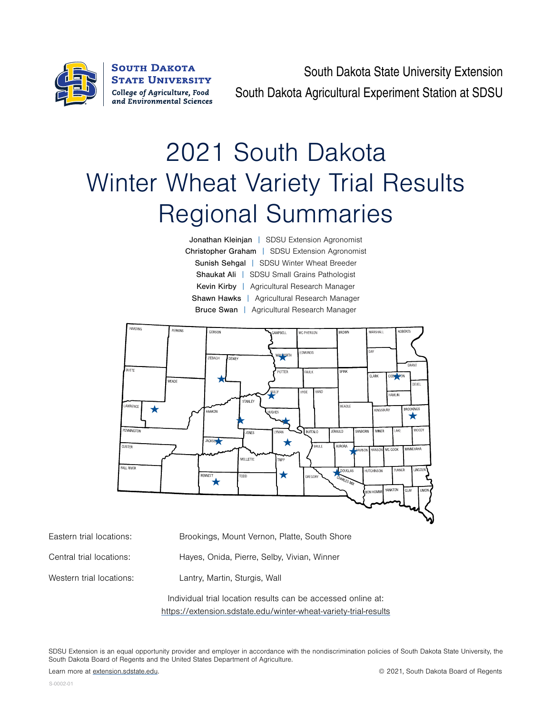

South Dakota State University Extension South Dakota Agricultural Experiment Station at SDSU

# 2021 South Dakota Winter Wheat Variety Trial Results Regional Summaries

Jonathan Kleinjan | SDSU Extension Agronomist Christopher Graham | SDSU Extension Agronomist Sunish Sehgal | SDSU Winter Wheat Breeder Shaukat Ali | SDSU Small Grains Pathologist Kevin Kirby | Agricultural Research Manager Shawn Hawks | Agricultural Research Manager Bruce Swan | Agricultural Research Manager



Eastern trial locations: Brookings, Mount Vernon, Platte, South Shore

Western trial locations: Lantry, Martin, Sturgis, Wall

Central trial locations: Hayes, Onida, Pierre, Selby, Vivian, Winner

Individual trial location results can be accessed online at: <https://extension.sdstate.edu/winter-wheat-variety-trial-results>

SDSU Extension is an equal opportunity provider and employer in accordance with the nondiscrimination policies of South Dakota State University, the South Dakota Board of Regents and the United States Department of Agriculture.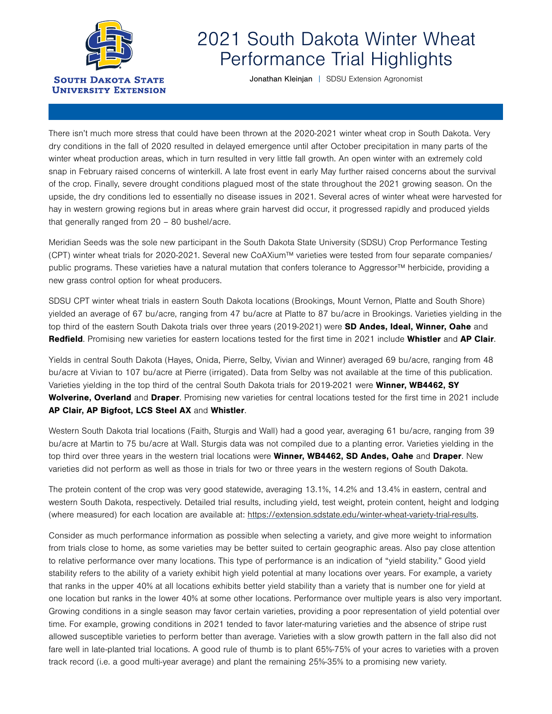

## 2021 South Dakota Winter Wheat Performance Trial Highlights

Jonathan Kleinjan | SDSU Extension Agronomist

There isn't much more stress that could have been thrown at the 2020-2021 winter wheat crop in South Dakota. Very dry conditions in the fall of 2020 resulted in delayed emergence until after October precipitation in many parts of the winter wheat production areas, which in turn resulted in very little fall growth. An open winter with an extremely cold snap in February raised concerns of winterkill. A late frost event in early May further raised concerns about the survival of the crop. Finally, severe drought conditions plagued most of the state throughout the 2021 growing season. On the upside, the dry conditions led to essentially no disease issues in 2021. Several acres of winter wheat were harvested for hay in western growing regions but in areas where grain harvest did occur, it progressed rapidly and produced yields that generally ranged from 20 – 80 bushel/acre.

Meridian Seeds was the sole new participant in the South Dakota State University (SDSU) Crop Performance Testing (CPT) winter wheat trials for 2020-2021. Several new CoAXium™ varieties were tested from four separate companies/ public programs. These varieties have a natural mutation that confers tolerance to Aggressor™ herbicide, providing a new grass control option for wheat producers.

SDSU CPT winter wheat trials in eastern South Dakota locations (Brookings, Mount Vernon, Platte and South Shore) yielded an average of 67 bu/acre, ranging from 47 bu/acre at Platte to 87 bu/acre in Brookings. Varieties yielding in the top third of the eastern South Dakota trials over three years (2019-2021) were SD Andes, Ideal, Winner, Oahe and Redfield. Promising new varieties for eastern locations tested for the first time in 2021 include Whistler and AP Clair.

Yields in central South Dakota (Hayes, Onida, Pierre, Selby, Vivian and Winner) averaged 69 bu/acre, ranging from 48 bu/acre at Vivian to 107 bu/acre at Pierre (irrigated). Data from Selby was not available at the time of this publication. Varieties yielding in the top third of the central South Dakota trials for 2019-2021 were Winner, WB4462, SY Wolverine, Overland and Draper. Promising new varieties for central locations tested for the first time in 2021 include AP Clair, AP Bigfoot, LCS Steel AX and Whistler.

Western South Dakota trial locations (Faith, Sturgis and Wall) had a good year, averaging 61 bu/acre, ranging from 39 bu/acre at Martin to 75 bu/acre at Wall. Sturgis data was not compiled due to a planting error. Varieties yielding in the top third over three years in the western trial locations were Winner, WB4462, SD Andes, Oahe and Draper. New varieties did not perform as well as those in trials for two or three years in the western regions of South Dakota.

The protein content of the crop was very good statewide, averaging 13.1%, 14.2% and 13.4% in eastern, central and western South Dakota, respectively. Detailed trial results, including yield, test weight, protein content, height and lodging (where measured) for each location are available at: [https://extension.sdstate.edu/winter-wheat-variety-trial-results.](https://extension.sdstate.edu/winter-wheat-variety-trial-results)

Consider as much performance information as possible when selecting a variety, and give more weight to information from trials close to home, as some varieties may be better suited to certain geographic areas. Also pay close attention to relative performance over many locations. This type of performance is an indication of "yield stability." Good yield stability refers to the ability of a variety exhibit high yield potential at many locations over years. For example, a variety that ranks in the upper 40% at all locations exhibits better yield stability than a variety that is number one for yield at one location but ranks in the lower 40% at some other locations. Performance over multiple years is also very important. Growing conditions in a single season may favor certain varieties, providing a poor representation of yield potential over time. For example, growing conditions in 2021 tended to favor later-maturing varieties and the absence of stripe rust allowed susceptible varieties to perform better than average. Varieties with a slow growth pattern in the fall also did not fare well in late-planted trial locations. A good rule of thumb is to plant 65%-75% of your acres to varieties with a proven track record (i.e. a good multi-year average) and plant the remaining 25%-35% to a promising new variety.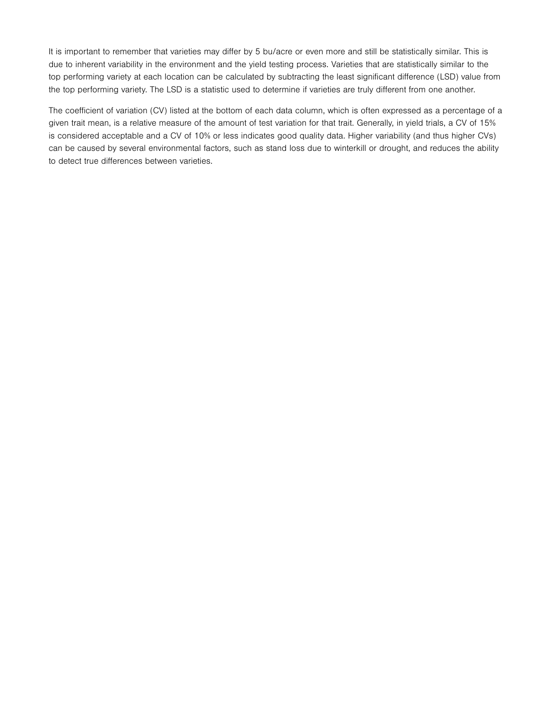It is important to remember that varieties may differ by 5 bu/acre or even more and still be statistically similar. This is due to inherent variability in the environment and the yield testing process. Varieties that are statistically similar to the top performing variety at each location can be calculated by subtracting the least significant difference (LSD) value from the top performing variety. The LSD is a statistic used to determine if varieties are truly different from one another.

The coefficient of variation (CV) listed at the bottom of each data column, which is often expressed as a percentage of a given trait mean, is a relative measure of the amount of test variation for that trait. Generally, in yield trials, a CV of 15% is considered acceptable and a CV of 10% or less indicates good quality data. Higher variability (and thus higher CVs) can be caused by several environmental factors, such as stand loss due to winterkill or drought, and reduces the ability to detect true differences between varieties.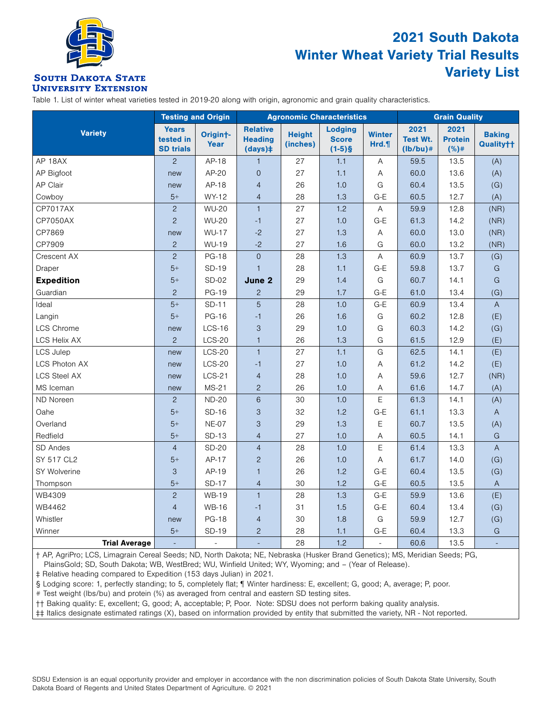

### 2021 South Dakota Winter Wheat Variety Trial Results Variety List

#### **SOUTH DAKOTA STATE UNIVERSITY EXTENSION**

Table 1. List of winter wheat varieties tested in 2019-20 along with origin, agronomic and grain quality characteristics.

|                      | <b>Testing and Origin</b>                     |                               |                                             |                           | <b>Agronomic Characteristics</b>            | <b>Grain Quality</b>  |                                       |                                |                            |
|----------------------|-----------------------------------------------|-------------------------------|---------------------------------------------|---------------------------|---------------------------------------------|-----------------------|---------------------------------------|--------------------------------|----------------------------|
| <b>Variety</b>       | <b>Years</b><br>tested in<br><b>SD trials</b> | Origin <sup>+</sup> -<br>Year | <b>Relative</b><br><b>Heading</b><br>(days) | <b>Height</b><br>(inches) | <b>Lodging</b><br><b>Score</b><br>$(1-5)$ § | <b>Winter</b><br>Hrd. | 2021<br><b>Test Wt.</b><br>$(lb/bu)*$ | 2021<br><b>Protein</b><br>(%)# | <b>Baking</b><br>Quality†† |
| AP 18AX              | $\overline{2}$                                | AP-18                         | $\mathbf{1}$                                | 27                        | 1.1                                         | Α                     | 59.5                                  | 13.5                           | (A)                        |
| AP Bigfoot           | new                                           | AP-20                         | $\overline{0}$                              | 27                        | 1.1                                         | Α                     | 60.0                                  | 13.6                           | (A)                        |
| <b>AP Clair</b>      | new                                           | AP-18                         | $\overline{4}$                              | 26                        | 1.0                                         | G                     | 60.4                                  | 13.5                           | (G)                        |
| Cowboy               | $5+$                                          | WY-12                         | $\overline{4}$                              | 28                        | 1.3                                         | $G-E$                 | 60.5                                  | 12.7                           | (A)                        |
| <b>CP7017AX</b>      | $\overline{c}$                                | <b>WU-20</b>                  | $\mathbf{1}$                                | 27                        | 1.2                                         | A                     | 59.9                                  | 12.8                           | (NR)                       |
| CP7050AX             | $\overline{c}$                                | <b>WU-20</b>                  | $-1$                                        | 27                        | 1.0                                         | G-E                   | 61.3                                  | 14.2                           | (NR)                       |
| CP7869               | new                                           | <b>WU-17</b>                  | $-2$                                        | 27                        | 1.3                                         | Α                     | 60.0                                  | 13.0                           | (NR)                       |
| CP7909               | $\overline{c}$                                | <b>WU-19</b>                  | $-2$                                        | 27                        | 1.6                                         | G                     | 60.0                                  | 13.2                           | (NR)                       |
| Crescent AX          | $\overline{2}$                                | <b>PG-18</b>                  | $\Omega$                                    | 28                        | 1.3                                         | A                     | 60.9                                  | 13.7                           | (G)                        |
| Draper               | $5+$                                          | SD-19                         | $\mathbf{1}$                                | 28                        | 1.1                                         | G-E                   | 59.8                                  | 13.7                           | G                          |
| <b>Expedition</b>    | $5+$                                          | <b>SD-02</b>                  | June 2                                      | 29                        | 1.4                                         | G                     | 60.7                                  | 14.1                           | G                          |
| Guardian             | $\overline{2}$                                | <b>PG-19</b>                  | $\overline{c}$                              | 29                        | 1.7                                         | G-E                   | 61.0                                  | 13.4                           | (G)                        |
| Ideal                | $5+$                                          | SD-11                         | 5                                           | 28                        | 1.0                                         | $G-E$                 | 60.9                                  | 13.4                           | $\overline{A}$             |
| Langin               | $5+$                                          | <b>PG-16</b>                  | $-1$                                        | 26                        | 1.6                                         | G                     | 60.2                                  | 12.8                           | (E)                        |
| <b>LCS Chrome</b>    | new                                           | $LCS-16$                      | 3                                           | 29                        | 1.0                                         | G                     | 60.3                                  | 14.2                           | (G)                        |
| <b>LCS Helix AX</b>  | $\overline{2}$                                | <b>LCS-20</b>                 | $\mathbf{1}$                                | 26                        | 1.3                                         | G                     | 61.5                                  | 12.9                           | (E)                        |
| <b>LCS Julep</b>     | new                                           | $LCS-20$                      | $\mathbf{1}$                                | 27                        | 1.1                                         | G                     | 62.5                                  | 14.1                           | (E)                        |
| <b>LCS Photon AX</b> | new                                           | <b>LCS-20</b>                 | $-1$                                        | 27                        | 1.0                                         | Α                     | 61.2                                  | 14.2                           | (E)                        |
| <b>LCS Steel AX</b>  | new                                           | $LCS-21$                      | $\overline{4}$                              | 28                        | 1.0                                         | A                     | 59.6                                  | 12.7                           | (NR)                       |
| MS Iceman            | new                                           | $MS-21$                       | $\overline{c}$                              | 26                        | 1.0                                         | A                     | 61.6                                  | 14.7                           | (A)                        |
| ND Noreen            | $\overline{2}$                                | <b>ND-20</b>                  | $6\phantom{1}6$                             | 30                        | 1.0                                         | E                     | 61.3                                  | 14.1                           | (A)                        |
| Oahe                 | $5+$                                          | SD-16                         | 3                                           | 32                        | 1.2                                         | $G-E$                 | 61.1                                  | 13.3                           | $\mathsf{A}$               |
| Overland             | $5+$                                          | <b>NE-07</b>                  | 3                                           | 29                        | 1.3                                         | $\mathsf E$           | 60.7                                  | 13.5                           | (A)                        |
| Redfield             | $5+$                                          | SD-13                         | $\overline{4}$                              | 27                        | 1.0                                         | Α                     | 60.5                                  | 14.1                           | G                          |
| SD Andes             | $\overline{4}$                                | <b>SD-20</b>                  | $\overline{4}$                              | 28                        | 1.0                                         | Ε                     | 61.4                                  | 13.3                           | $\overline{A}$             |
| SY 517 CL2           | $5+$                                          | AP-17                         | $\overline{2}$                              | 26                        | 1.0                                         | A                     | 61.7                                  | 14.0                           | (G)                        |
| SY Wolverine         | 3                                             | AP-19                         | $\mathbf{1}$                                | 26                        | 1.2                                         | $G-E$                 | 60.4                                  | 13.5                           | (G)                        |
| Thompson             | $5+$                                          | <b>SD-17</b>                  | $\overline{4}$                              | 30                        | 1.2                                         | $G-E$                 | 60.5                                  | 13.5                           | $\overline{A}$             |
| WB4309               | $\overline{c}$                                | <b>WB-19</b>                  | $\mathbf{1}$                                | 28                        | 1.3                                         | G-E                   | 59.9                                  | 13.6                           | (E)                        |
| WB4462               | $\overline{4}$                                | <b>WB-16</b>                  | $-1$                                        | 31                        | 1.5                                         | $G-E$                 | 60.4                                  | 13.4                           | (G)                        |
| Whistler             | new                                           | <b>PG-18</b>                  | $\overline{4}$                              | 30                        | 1.8                                         | G                     | 59.9                                  | 12.7                           | (G)                        |
| Winner               | $5+$                                          | SD-19                         | $\overline{c}$                              | 28                        | 1.1                                         | G-E                   | 60.4                                  | 13.3                           | G                          |
| <b>Trial Average</b> |                                               | $\sim$                        | ÷                                           | 28                        | 1.2                                         | L,                    | 60.6                                  | 13.5                           | $\Box$                     |

† AP, AgriPro; LCS, Limagrain Cereal Seeds; ND, North Dakota; NE, Nebraska (Husker Brand Genetics); MS, Meridian Seeds; PG, PlainsGold; SD, South Dakota; WB, WestBred; WU, Winfield United; WY, Wyoming; and – (Year of Release).

‡ Relative heading compared to Expedition (153 days Julian) in 2021.

§ Lodging score: 1, perfectly standing; to 5, completely flat; ¶ Winter hardiness: E, excellent; G, good; A, average; P, poor.

# Test weight (lbs/bu) and protein (%) as averaged from central and eastern SD testing sites.

†† Baking quality: E, excellent; G, good; A, acceptable; P, Poor. Note: SDSU does not perform baking quality analysis.

‡‡ Italics designate estimated ratings (X), based on information provided by entity that submitted the variety, NR - Not reported.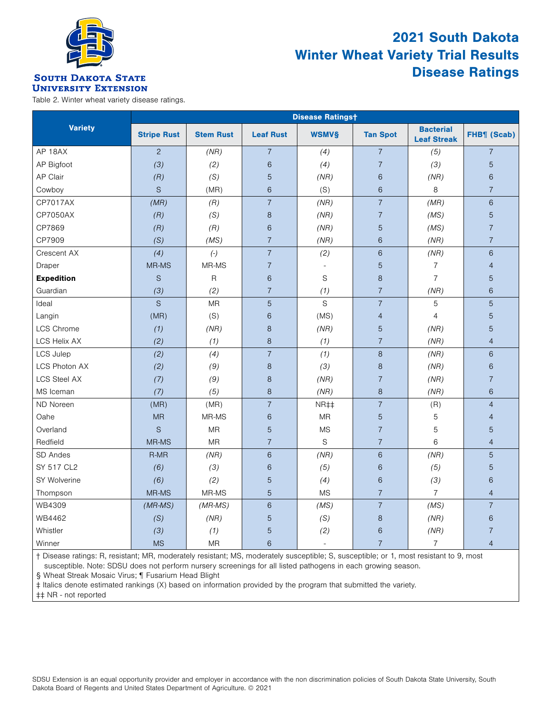

### 2021 South Dakota Winter Wheat Variety Trial Results Disease Ratings

#### **SOUTH DAKOTA STATE UNIVERSITY EXTENSION**

Table 2. Winter wheat variety disease ratings.

|                     | <b>Disease Ratingst</b> |                  |                          |                          |                 |                                        |                |  |  |  |  |
|---------------------|-------------------------|------------------|--------------------------|--------------------------|-----------------|----------------------------------------|----------------|--|--|--|--|
| <b>Variety</b>      | <b>Stripe Rust</b>      | <b>Stem Rust</b> | <b>Leaf Rust</b>         | <b>WSMV§</b>             | <b>Tan Spot</b> | <b>Bacterial</b><br><b>Leaf Streak</b> | FHB¶ (Scab)    |  |  |  |  |
| AP 18AX             | $\overline{c}$          | (NR)             | $\overline{7}$           | (4)                      | $\overline{7}$  | (5)                                    | $\overline{7}$ |  |  |  |  |
| AP Bigfoot          | (3)                     | (2)              | $\,$ 6 $\,$              | (4)                      | $\overline{7}$  | (3)                                    | 5              |  |  |  |  |
| AP Clair            | (R)                     | (S)              | 5                        | (NR)                     | 6               | (NR)                                   | 6              |  |  |  |  |
| Cowboy              | $\mathsf S$             | (MR)             | $6\phantom{1}$           | (S)                      | $\,6$           | 8                                      | $\overline{7}$ |  |  |  |  |
| <b>CP7017AX</b>     | (MR)                    | (R)              | $\overline{7}$           | (NR)                     | $\overline{7}$  | (MR)                                   | $\,$ 6 $\,$    |  |  |  |  |
| CP7050AX            | (R)                     | (S)              | $\,8\,$                  | (NR)                     | $\overline{7}$  | (MS)                                   | $\overline{5}$ |  |  |  |  |
| CP7869              | (R)                     | (R)              | $\,$ 6 $\,$              | (NR)                     | 5               | (MS)                                   | $\overline{7}$ |  |  |  |  |
| CP7909              | (S)                     | (MS)             | $\overline{\mathcal{I}}$ | (NR)                     | 6               | (NR)                                   | $\overline{7}$ |  |  |  |  |
| Crescent AX         | (4)                     | $(-)$            | $\overline{\mathcal{I}}$ | (2)                      | 6               | (NR)                                   | 6              |  |  |  |  |
| Draper              | MR-MS                   | MR-MS            | $\overline{7}$           | $\overline{\phantom{a}}$ | 5               | $\overline{7}$                         | $\overline{4}$ |  |  |  |  |
| <b>Expedition</b>   | $\mathbf S$             | $\mathsf{R}$     | $\,$ 6 $\,$              | S                        | $\,8\,$         | $\overline{7}$                         | $\overline{5}$ |  |  |  |  |
| Guardian            | (3)                     | (2)              | $\overline{7}$           | (1)                      | $\overline{7}$  | (NR)                                   | $\,$ 6 $\,$    |  |  |  |  |
| Ideal               | $\mathsf S$             | <b>MR</b>        | 5                        | S                        | $\overline{7}$  | 5                                      | 5              |  |  |  |  |
| Langin              | (MR)                    | (S)              | $\,$ 6 $\,$              | (MS)                     | $\overline{4}$  | $\overline{4}$                         | $\overline{5}$ |  |  |  |  |
| LCS Chrome          | (1)                     | (NR)             | $\,8\,$                  | (NR)                     | 5               | (NR)                                   | 5              |  |  |  |  |
| <b>LCS Helix AX</b> | (2)                     | (1)              | $\,8\,$                  | (1)                      | $\overline{7}$  | (NR)                                   | $\overline{4}$ |  |  |  |  |
| LCS Julep           | (2)                     | (4)              | $\overline{7}$           | (1)                      | 8               | (NR)                                   | 6              |  |  |  |  |
| LCS Photon AX       | (2)                     | (9)              | $\,8\,$                  | (3)                      | $\,8\,$         | (NR)                                   | $\,$ 6 $\,$    |  |  |  |  |
| <b>LCS Steel AX</b> | (7)                     | (9)              | $\,8\,$                  | (NR)                     | $\overline{7}$  | (NR)                                   | $\overline{7}$ |  |  |  |  |
| MS Iceman           | (7)                     | (5)              | 8                        | (NR)                     | $\,8\,$         | (NR)                                   | $\,$ 6 $\,$    |  |  |  |  |
| ND Noreen           | (MR)                    | (MR)             | $\overline{7}$           | NR‡‡                     | $\overline{7}$  | (R)                                    | $\overline{4}$ |  |  |  |  |
| Oahe                | <b>MR</b>               | MR-MS            | $\,$ 6 $\,$              | <b>MR</b>                | 5               | 5                                      | $\overline{4}$ |  |  |  |  |
| Overland            | $\mathsf S$             | <b>MR</b>        | $\overline{5}$           | <b>MS</b>                | $\overline{7}$  | 5                                      | 5              |  |  |  |  |
| Redfield            | MR-MS                   | <b>MR</b>        | $\overline{7}$           | S                        | $\overline{7}$  | 6                                      | $\overline{4}$ |  |  |  |  |
| SD Andes            | R-MR                    | (NR)             | $6\phantom{1}$           | (NR)                     | 6               | (NR)                                   | 5              |  |  |  |  |
| SY 517 CL2          | (6)                     | (3)              | $\,$ 6 $\,$              | (5)                      | $6\,$           | (5)                                    | 5              |  |  |  |  |
| SY Wolverine        | (6)                     | (2)              | $\overline{5}$           | (4)                      | $\,$ 6 $\,$     | (3)                                    | $\,$ 6 $\,$    |  |  |  |  |
| Thompson            | MR-MS                   | MR-MS            | 5                        | <b>MS</b>                | $\overline{7}$  | $\overline{7}$                         | $\overline{4}$ |  |  |  |  |
| WB4309              | $(MR\text{-}MS)$        | $(MR\text{-}MS)$ | $6\phantom{a}$           | (MS)                     | $\overline{7}$  | (MS)                                   | $\overline{7}$ |  |  |  |  |
| WB4462              | (S)                     | (NR)             | $\overline{5}$           | (S)                      | $\,8\,$         | (NR)                                   | $\,$ 6 $\,$    |  |  |  |  |
| Whistler            | (3)                     | (1)              | $\overline{5}$           | (2)                      | 6               | (NR)                                   | $\overline{7}$ |  |  |  |  |
| Winner              | <b>MS</b>               | <b>MR</b>        | $\,$ 6 $\,$              | $\overline{\phantom{a}}$ | $\overline{7}$  | $\overline{7}$                         | $\overline{4}$ |  |  |  |  |

† Disease ratings: R, resistant; MR, moderately resistant; MS, moderately susceptible; S, susceptible; or 1, most resistant to 9, most susceptible. Note: SDSU does not perform nursery screenings for all listed pathogens in each growing season.

§ Wheat Streak Mosaic Virus; ¶ Fusarium Head Blight

‡ Italics denote estimated rankings (X) based on information provided by the program that submitted the variety.

‡‡ NR - not reported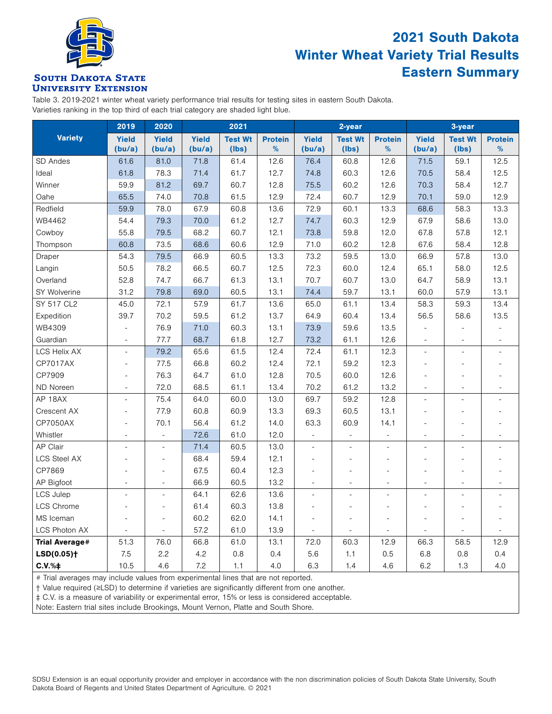

### 2021 South Dakota Winter Wheat Variety Trial Results Eastern Summary

#### **SOUTH DAKOTA STATE UNIVERSITY EXTENSION**

Table 3. 2019-2021 winter wheat variety performance trial results for testing sites in eastern South Dakota. Varieties ranking in the top third of each trial category are shaded light blue.

|                          | 2019                     | 2020                     |              | 2021           |                |                          | 2-year         |                          | 3-year                   |                          |                |
|--------------------------|--------------------------|--------------------------|--------------|----------------|----------------|--------------------------|----------------|--------------------------|--------------------------|--------------------------|----------------|
| <b>Variety</b>           | <b>Yield</b>             | <b>Yield</b>             | <b>Yield</b> | <b>Test Wt</b> | <b>Protein</b> | <b>Yield</b>             | <b>Test Wt</b> | <b>Protein</b>           | <b>Yield</b>             | <b>Test Wt</b>           | <b>Protein</b> |
|                          | (bu/a)                   | (bu/a)                   | (bu/a)       | $($ lbs $)$    | $\%$           | (bu/a)                   | $($ lbs $)$    | %                        | (bu/a)                   | (lbs)                    | %              |
| SD Andes                 | 61.6                     | 81.0                     | 71.8         | 61.4           | 12.6           | 76.4                     | 60.8           | 12.6                     | 71.5                     | 59.1                     | 12.5           |
| Ideal                    | 61.8                     | 78.3                     | 71.4         | 61.7           | 12.7           | 74.8                     | 60.3           | 12.6                     | 70.5                     | 58.4                     | 12.5           |
| Winner                   | 59.9                     | 81.2                     | 69.7         | 60.7           | 12.8           | 75.5                     | 60.2           | 12.6                     | 70.3                     | 58.4                     | 12.7           |
| Oahe                     | 65.5                     | 74.0                     | 70.8         | 61.5           | 12.9           | 72.4                     | 60.7           | 12.9                     | 70.1                     | 59.0                     | 12.9           |
| Redfield                 | 59.9                     | 78.0                     | 67.9         | 60.8           | 13.6           | 72.9                     | 60.1           | 13.3                     | 68.6                     | 58.3                     | 13.3           |
| WB4462                   | 54.4                     | 79.3                     | 70.0         | 61.2           | 12.7           | 74.7                     | 60.3           | 12.9                     | 67.9                     | 58.6                     | 13.0           |
| Cowboy                   | 55.8                     | 79.5                     | 68.2         | 60.7           | 12.1           | 73.8                     | 59.8           | 12.0                     | 67.8                     | 57.8                     | 12.1           |
| Thompson                 | 60.8                     | 73.5                     | 68.6         | 60.6           | 12.9           | 71.0                     | 60.2           | 12.8                     | 67.6                     | 58.4                     | 12.8           |
| Draper                   | 54.3                     | 79.5                     | 66.9         | 60.5           | 13.3           | 73.2                     | 59.5           | 13.0                     | 66.9                     | 57.8                     | 13.0           |
| Langin                   | 50.5                     | 78.2                     | 66.5         | 60.7           | 12.5           | 72.3                     | 60.0           | 12.4                     | 65.1                     | 58.0                     | 12.5           |
| Overland                 | 52.8                     | 74.7                     | 66.7         | 61.3           | 13.1           | 70.7                     | 60.7           | 13.0                     | 64.7                     | 58.9                     | 13.1           |
| SY Wolverine             | 31.2                     | 79.8                     | 69.0         | 60.5           | 13.1           | 74.4                     | 59.7           | 13.1                     | 60.0                     | 57.9                     | 13.1           |
| SY 517 CL2               | 45.0                     | 72.1                     | 57.9         | 61.7           | 13.6           | 65.0                     | 61.1           | 13.4                     | 58.3                     | 59.3                     | 13.4           |
| Expedition               | 39.7                     | 70.2                     | 59.5         | 61.2           | 13.7           | 64.9                     | 60.4           | 13.4                     | 56.5                     | 58.6                     | 13.5           |
| WB4309                   | ÷,                       | 76.9                     | 71.0         | 60.3           | 13.1           | 73.9                     | 59.6           | 13.5                     |                          |                          |                |
| Guardian                 | $\overline{\phantom{a}}$ | 77.7                     | 68.7         | 61.8           | 12.7           | 73.2                     | 61.1           | 12.6                     | $\sim$                   | $\sim$                   | $\overline{a}$ |
| <b>LCS Helix AX</b>      | $\overline{\phantom{a}}$ | 79.2                     | 65.6         | 61.5           | 12.4           | 72.4                     | 61.1           | 12.3                     | $\sim$                   | $\overline{a}$           |                |
| CP7017AX                 | ٠                        | 77.5                     | 66.8         | 60.2           | 12.4           | 72.1                     | 59.2           | 12.3                     |                          | ٠                        |                |
| CP7909                   |                          | 76.3                     | 64.7         | 61.0           | 12.8           | 70.5                     | 60.0           | 12.6                     |                          | ÷                        |                |
| ND Noreen                | $\overline{\phantom{a}}$ | 72.0                     | 68.5         | 61.1           | 13.4           | 70.2                     | 61.2           | 13.2                     | $\overline{\phantom{a}}$ | $\overline{\phantom{a}}$ |                |
| AP 18AX                  | $\overline{\phantom{a}}$ | 75.4                     | 64.0         | 60.0           | 13.0           | 69.7                     | 59.2           | 12.8                     | $\overline{\phantom{a}}$ |                          |                |
| Crescent AX              | $\overline{a}$           | 77.9                     | 60.8         | 60.9           | 13.3           | 69.3                     | 60.5           | 13.1                     |                          |                          |                |
| CP7050AX                 |                          | 70.1                     | 56.4         | 61.2           | 14.0           | 63.3                     | 60.9           | 14.1                     |                          |                          |                |
| Whistler                 | ä,                       | $\overline{\phantom{a}}$ | 72.6         | 61.0           | 12.0           | $\Box$                   |                |                          |                          | ٠                        |                |
| AP Clair                 | ÷.                       | ÷.                       | 71.4         | 60.5           | 13.0           | ÷.                       | ÷.             |                          |                          |                          |                |
| <b>LCS Steel AX</b>      |                          |                          | 68.4         | 59.4           | 12.1           |                          |                |                          |                          |                          |                |
| CP7869                   |                          | L,                       | 67.5         | 60.4           | 12.3           |                          |                |                          |                          |                          |                |
| AP Bigfoot               | ÷,                       | ٠                        | 66.9         | 60.5           | 13.2           | $\sim$                   |                |                          |                          | $\overline{\phantom{a}}$ |                |
| <b>LCS Julep</b>         | $\overline{a}$           | ä,                       | 64.1         | 62.6           | 13.6           | ٠                        |                | i.                       | ÷.                       |                          |                |
| LCS Chrome               | ۰                        | ۰                        | 61.4         | 60.3           | 13.8           | ٠                        |                | $\overline{\phantom{a}}$ |                          | ÷                        |                |
| MS Iceman                |                          | ٠                        | 60.2         | 62.0           | 14.1           | $\overline{\phantom{a}}$ | ÷.             | ÷,                       |                          | ÷,                       |                |
| LCS Photon AX            | L.                       | $\sim$                   | 57.2         | 61.0           | 13.9           | $\overline{\phantom{a}}$ | $\sim$         | ÷                        |                          | $\overline{\phantom{a}}$ |                |
| <b>Trial Average#</b>    | 51.3                     | 76.0                     | 66.8         | 61.0           | 13.1           | 72.0                     | 60.3           | 12.9                     | 66.3                     | 58.5                     | 12.9           |
| $LSD(0.05)$ <sup>+</sup> | 7.5                      | 2.2                      | 4.2          | 0.8            | 0.4            | 5.6                      | 1.1            | 0.5                      | 6.8                      | 0.8                      | 0.4            |
| C.V.%                    | 10.5                     | 4.6                      | 7.2          | 1.1            | 4.0            | 6.3                      | 1.4            | 4.6                      | 6.2                      | 1.3                      | 4.0            |

# Trial averages may include values from experimental lines that are not reported.

† Value required (≥LSD) to determine if varieties are significantly different from one another.

‡ C.V. is a measure of variability or experimental error, 15% or less is considered acceptable.

Note: Eastern trial sites include Brookings, Mount Vernon, Platte and South Shore.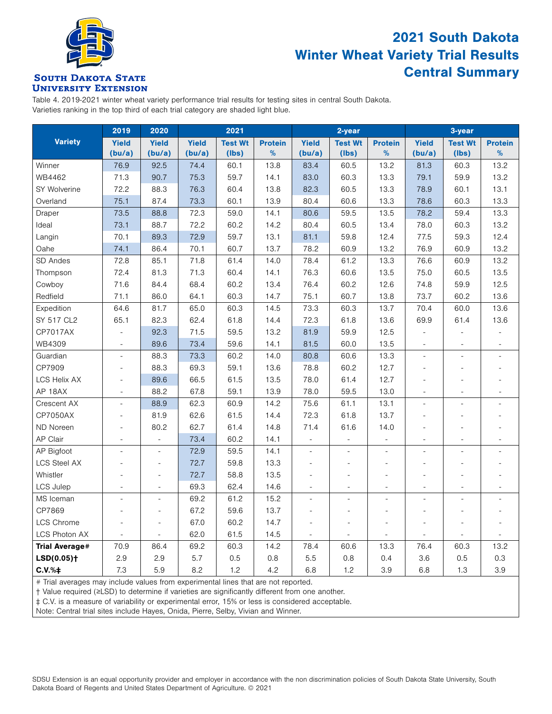

### 2021 South Dakota Winter Wheat Variety Trial Results Central Summary

#### **SOUTH DAKOTA STATE UNIVERSITY EXTENSION**

Table 4. 2019-2021 winter wheat variety performance trial results for testing sites in central South Dakota. Varieties ranking in the top third of each trial category are shaded light blue.

|                          | 2019                     | 2020                     |              | 2021           |                |                          | 2-year                   |                          | 3-year                   |                          |                          |
|--------------------------|--------------------------|--------------------------|--------------|----------------|----------------|--------------------------|--------------------------|--------------------------|--------------------------|--------------------------|--------------------------|
| <b>Variety</b>           | <b>Yield</b>             | <b>Yield</b>             | <b>Yield</b> | <b>Test Wt</b> | <b>Protein</b> | <b>Yield</b>             | <b>Test Wt</b>           | <b>Protein</b>           | <b>Yield</b>             | <b>Test Wt</b>           | <b>Protein</b>           |
|                          | (bu/a)                   | (bu/a)                   | (bu/a)       | $($ lbs $)$    | $\%$           | (bu/a)                   | (lbs)                    | $\%$                     | (bu/a)                   | (lbs)                    | $\%$                     |
| Winner                   | 76.9                     | 92.5                     | 74.4         | 60.1           | 13.8           | 83.4                     | 60.5                     | 13.2                     | 81.3                     | 60.3                     | 13.2                     |
| WB4462                   | 71.3                     | 90.7                     | 75.3         | 59.7           | 14.1           | 83.0                     | 60.3                     | 13.3                     | 79.1                     | 59.9                     | 13.2                     |
| SY Wolverine             | 72.2                     | 88.3                     | 76.3         | 60.4           | 13.8           | 82.3                     | 60.5                     | 13.3                     | 78.9                     | 60.1                     | 13.1                     |
| Overland                 | 75.1                     | 87.4                     | 73.3         | 60.1           | 13.9           | 80.4                     | 60.6                     | 13.3                     | 78.6                     | 60.3                     | 13.3                     |
| Draper                   | 73.5                     | 88.8                     | 72.3         | 59.0           | 14.1           | 80.6                     | 59.5                     | 13.5                     | 78.2                     | 59.4                     | 13.3                     |
| Ideal                    | 73.1                     | 88.7                     | 72.2         | 60.2           | 14.2           | 80.4                     | 60.5                     | 13.4                     | 78.0                     | 60.3                     | 13.2                     |
| Langin                   | 70.1                     | 89.3                     | 72.9         | 59.7           | 13.1           | 81.1                     | 59.8                     | 12.4                     | 77.5                     | 59.3                     | 12.4                     |
| Oahe                     | 74.1                     | 86.4                     | 70.1         | 60.7           | 13.7           | 78.2                     | 60.9                     | 13.2                     | 76.9                     | 60.9                     | 13.2                     |
| SD Andes                 | 72.8                     | 85.1                     | 71.8         | 61.4           | 14.0           | 78.4                     | 61.2                     | 13.3                     | 76.6                     | 60.9                     | 13.2                     |
| Thompson                 | 72.4                     | 81.3                     | 71.3         | 60.4           | 14.1           | 76.3                     | 60.6                     | 13.5                     | 75.0                     | 60.5                     | 13.5                     |
| Cowboy                   | 71.6                     | 84.4                     | 68.4         | 60.2           | 13.4           | 76.4                     | 60.2                     | 12.6                     | 74.8                     | 59.9                     | 12.5                     |
| Redfield                 | 71.1                     | 86.0                     | 64.1         | 60.3           | 14.7           | 75.1                     | 60.7                     | 13.8                     | 73.7                     | 60.2                     | 13.6                     |
| Expedition               | 64.6                     | 81.7                     | 65.0         | 60.3           | 14.5           | 73.3                     | 60.3                     | 13.7                     | 70.4                     | 60.0                     | 13.6                     |
| SY 517 CL2               | 65.1                     | 82.3                     | 62.4         | 61.8           | 14.4           | 72.3                     | 61.8                     | 13.6                     | 69.9                     | 61.4                     | 13.6                     |
| CP7017AX                 |                          | 92.3                     | 71.5         | 59.5           | 13.2           | 81.9                     | 59.9                     | 12.5                     | $\overline{a}$           |                          |                          |
| WB4309                   | $\overline{\phantom{a}}$ | 89.6                     | 73.4         | 59.6           | 14.1           | 81.5                     | 60.0                     | 13.5                     | $\overline{\phantom{a}}$ | $\overline{\phantom{a}}$ | $\overline{\phantom{a}}$ |
| Guardian                 | L.                       | 88.3                     | 73.3         | 60.2           | 14.0           | 80.8                     | 60.6                     | 13.3                     | $\overline{\phantom{a}}$ | ÷                        |                          |
| CP7909                   | ٠                        | 88.3                     | 69.3         | 59.1           | 13.6           | 78.8                     | 60.2                     | 12.7                     | ٠                        |                          |                          |
| <b>LCS Helix AX</b>      | ä,                       | 89.6                     | 66.5         | 61.5           | 13.5           | 78.0                     | 61.4                     | 12.7                     |                          |                          |                          |
| AP 18AX                  | $\overline{\phantom{a}}$ | 88.2                     | 67.8         | 59.1           | 13.9           | 78.0                     | 59.5                     | 13.0                     | $\overline{\phantom{a}}$ | $\overline{\phantom{m}}$ |                          |
| Crescent AX              | $\overline{\phantom{0}}$ | 88.9                     | 62.3         | 60.9           | 14.2           | 75.6                     | 61.1                     | 13.1                     | $\overline{\phantom{a}}$ |                          |                          |
| CP7050AX                 |                          | 81.9                     | 62.6         | 61.5           | 14.4           | 72.3                     | 61.8                     | 13.7                     |                          |                          |                          |
| ND Noreen                | ÷,                       | 80.2                     | 62.7         | 61.4           | 14.8           | 71.4                     | 61.6                     | 14.0                     |                          |                          |                          |
| AP Clair                 | ٠                        | ÷,                       | 73.4         | 60.2           | 14.1           |                          |                          | $\overline{\phantom{a}}$ | ٠                        |                          |                          |
| AP Bigfoot               |                          | $\overline{a}$           | 72.9         | 59.5           | 14.1           | $\overline{\phantom{a}}$ |                          | $\sim$                   |                          |                          |                          |
| <b>LCS Steel AX</b>      |                          | $\overline{a}$           | 72.7         | 59.8           | 13.3           |                          |                          |                          |                          |                          |                          |
| Whistler                 |                          | $\overline{\phantom{a}}$ | 72.7         | 58.8           | 13.5           |                          |                          | $\overline{\phantom{a}}$ |                          |                          |                          |
| <b>LCS Julep</b>         |                          | $\overline{\phantom{a}}$ | 69.3         | 62.4           | 14.6           |                          |                          |                          |                          |                          |                          |
| MS Iceman                |                          | ÷,                       | 69.2         | 61.2           | 15.2           | $\overline{a}$           | $\overline{\phantom{a}}$ | L.                       |                          |                          |                          |
| CP7869                   |                          | $\overline{\phantom{a}}$ | 67.2         | 59.6           | 13.7           |                          | $\overline{\phantom{a}}$ | ÷,                       |                          |                          |                          |
| LCS Chrome               |                          | $\overline{\phantom{a}}$ | 67.0         | 60.2           | 14.7           | $\overline{\phantom{a}}$ | $\overline{\phantom{a}}$ | $\overline{\phantom{a}}$ |                          |                          |                          |
| <b>LCS Photon AX</b>     | ÷.                       | ÷,                       | 62.0         | 61.5           | 14.5           | $\overline{a}$           |                          |                          |                          |                          |                          |
| <b>Trial Average#</b>    | 70.9                     | 86.4                     | 69.2         | 60.3           | 14.2           | 78.4                     | 60.6                     | 13.3                     | 76.4                     | 60.3                     | 13.2                     |
| $LSD(0.05)$ <sup>+</sup> | 2.9                      | 2.9                      | 5.7          | 0.5            | $0.8\,$        | 5.5                      | 0.8                      | 0.4                      | 3.6                      | 0.5                      | 0.3                      |
| $C.V.$ % $\ddagger$      | 7.3                      | 5.9                      | 8.2          | 1.2            | 4.2            | 6.8                      | 1.2                      | 3.9                      | 6.8                      | 1.3                      | 3.9                      |

# Trial averages may include values from experimental lines that are not reported.

† Value required (≥LSD) to determine if varieties are significantly different from one another.

‡ C.V. is a measure of variability or experimental error, 15% or less is considered acceptable.

Note: Central trial sites include Hayes, Onida, Pierre, Selby, Vivian and Winner.